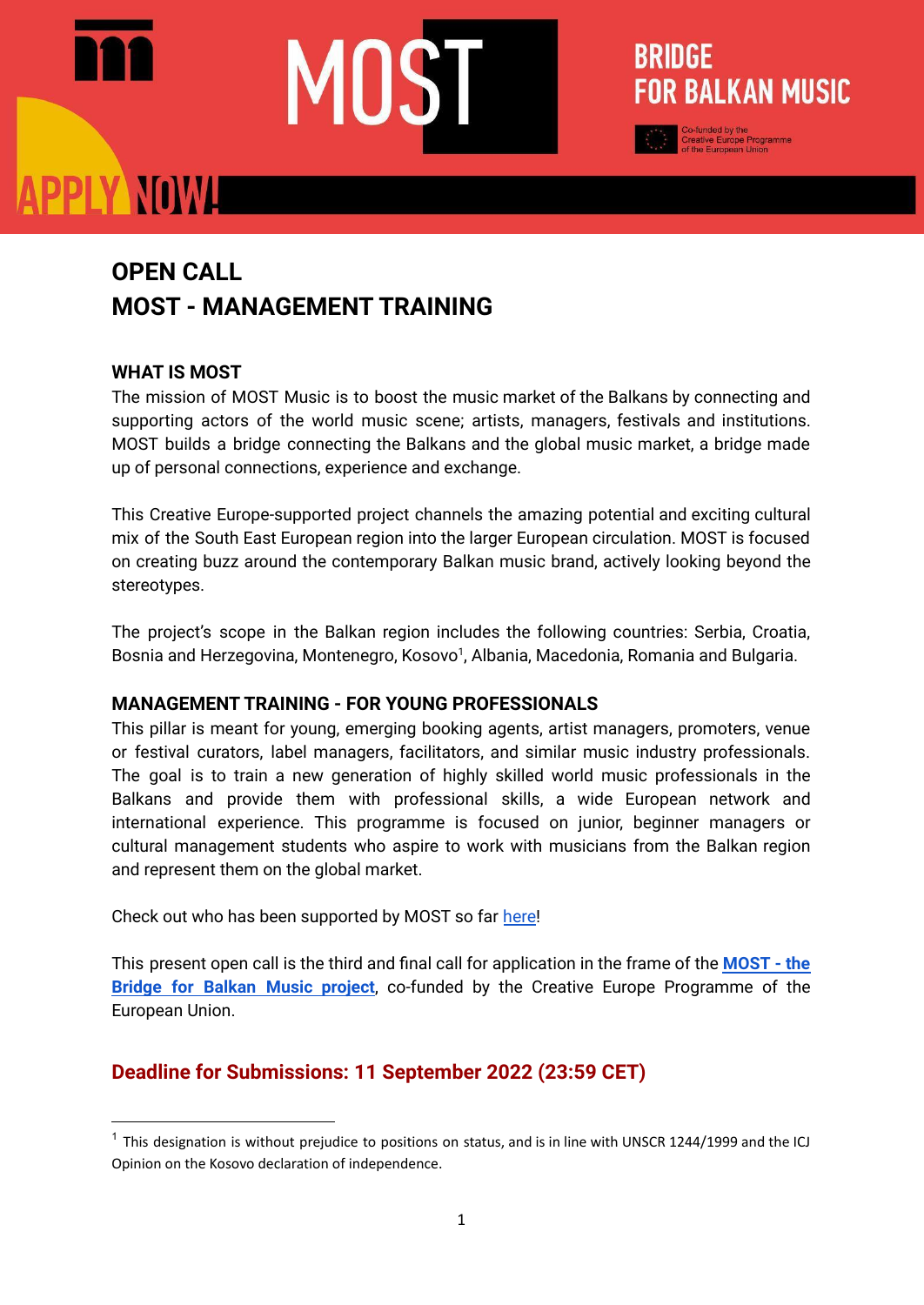## **PPLY NOWLE**

#### **OPEN CALL MOST - MANAGEMENT TRAINING**

#### **WHAT IS MOST**

The mission of MOST Music is to boost the music market of the Balkans by connecting and supporting actors of the world music scene; artists, managers, festivals and institutions. MOST builds a bridge connecting the Balkans and the global music market, a bridge made up of personal connections, experience and exchange.

**BRIDGE** 

**FOR BALKAN MUSIC** 

This Creative Europe-supported project channels the amazing potential and exciting cultural mix of the South East European region into the larger European circulation. MOST is focused on creating buzz around the contemporary Balkan music brand, actively looking beyond the stereotypes.

The project's scope in the Balkan region includes the following countries: Serbia, Croatia, Bosnia and Herzegovina, Montenegro, Kosovo<sup>1</sup>, Albania, Macedonia, Romania and Bulgaria.

#### **MANAGEMENT TRAINING - FOR YOUNG PROFESSIONALS**

This pillar is meant for young, emerging booking agents, artist managers, promoters, venue or festival curators, label managers, facilitators, and similar music industry professionals. The goal is to train a new generation of highly skilled world music professionals in the Balkans and provide them with professional skills, a wide European network and international experience. This programme is focused on junior, beginner managers or cultural management students who aspire to work with musicians from the Balkan region and represent them on the global market.

Check out who has been supported by MOST so far [here!](https://mostmusic.eu/participants/)

This present open call is the third and final call for application in the frame of the **[MOST](https://mostmusic.eu/) - the Bridge for Balkan Music [project](https://mostmusic.eu/)**, co-funded by the Creative Europe Programme of the European Union.

#### **Deadline for Submissions: 11 September 2022 (23:59 CET)**

 $1$  This designation is without prejudice to positions on status, and is in line with UNSCR 1244/1999 and the ICJ Opinion on the Kosovo declaration of independence.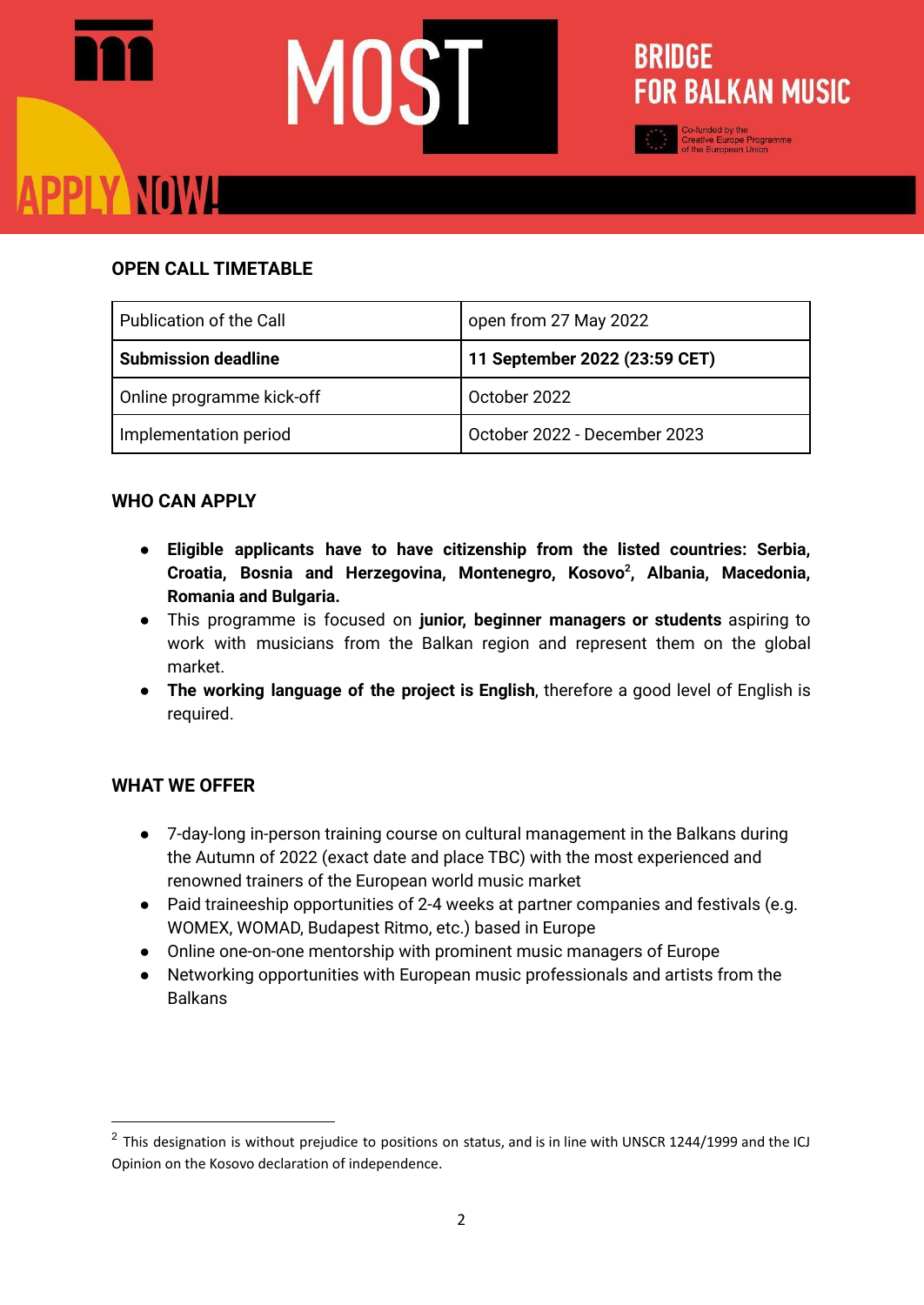## ANOWL

#### **BRIDGE FOR BALKAN MUSIC**

#### **OPEN CALL TIMETABLE**

| Publication of the Call    | open from 27 May 2022         |
|----------------------------|-------------------------------|
| <b>Submission deadline</b> | 11 September 2022 (23:59 CET) |
| Online programme kick-off  | October 2022                  |
| Implementation period      | October 2022 - December 2023  |

#### **WHO CAN APPLY**

- **● Eligible applicants have to have citizenship from the listed countries: Serbia, Croatia, Bosnia and Herzegovina, Montenegro, Kosovo 2 , Albania, Macedonia, Romania and Bulgaria.**
- **●** This programme is focused on **junior, beginner managers or students** aspiring to work with musicians from the Balkan region and represent them on the global market.
- **The working language of the project is English**, therefore a good level of English is required.

#### **WHAT WE OFFER**

- 7-day-long in-person training course on cultural management in the Balkans during the Autumn of 2022 (exact date and place TBC) with the most experienced and renowned trainers of the European world music market
- Paid traineeship opportunities of 2-4 weeks at partner companies and festivals (e.g. WOMEX, WOMAD, Budapest Ritmo, etc.) based in Europe
- Online one-on-one mentorship with prominent music managers of Europe
- Networking opportunities with European music professionals and artists from the Balkans

<sup>&</sup>lt;sup>2</sup> This designation is without prejudice to positions on status, and is in line with UNSCR 1244/1999 and the ICJ Opinion on the Kosovo declaration of independence.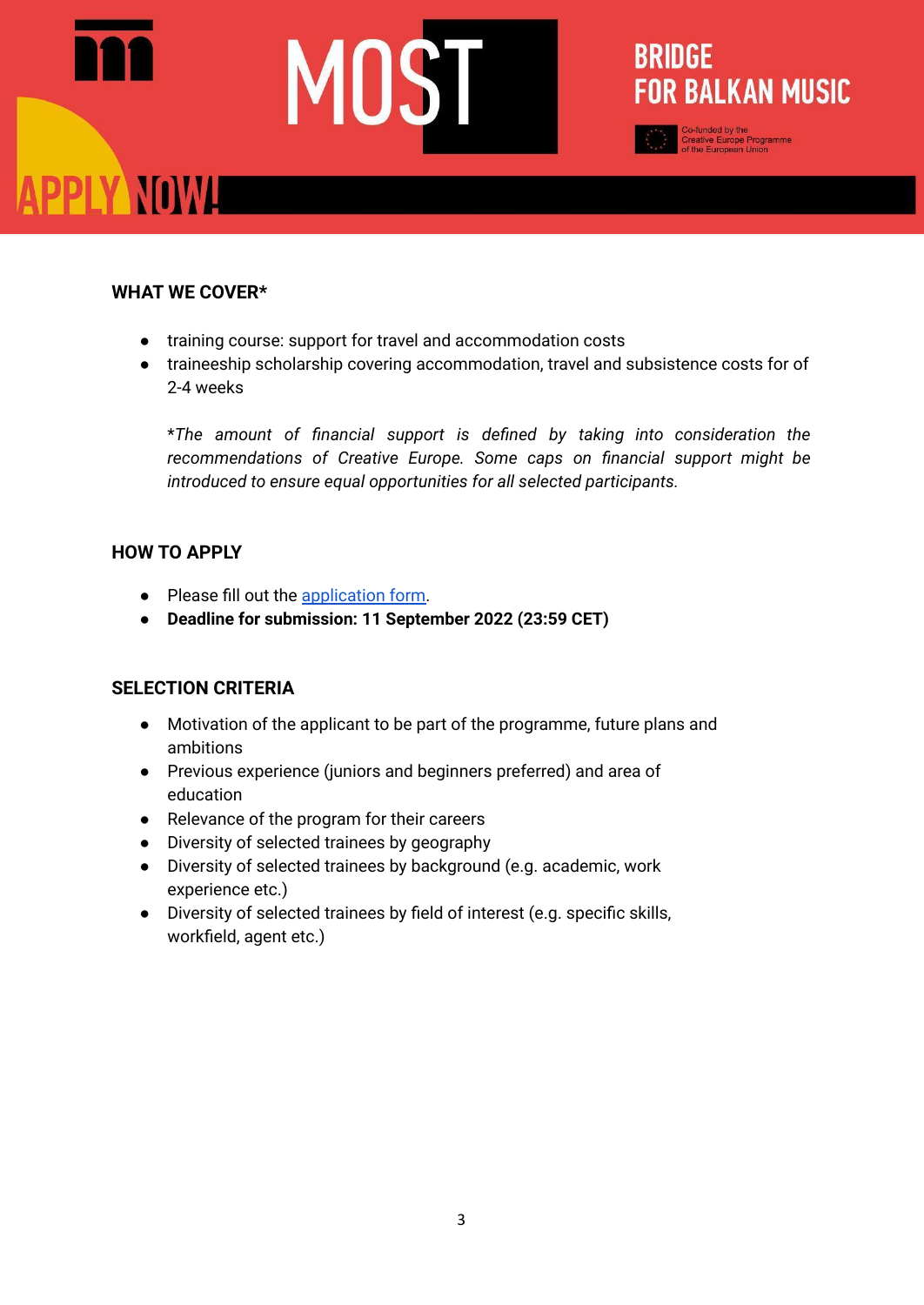### **BRIDGE FOR BALKAN MUSIC** -funded by the<br>ative Europe Programme<br>he European Union PPLY NOWL

#### **WHAT WE COVER\***

- training course: support for travel and accommodation costs
- traineeship scholarship covering accommodation, travel and subsistence costs for of 2-4 weeks

\**The amount of financial support is defined by taking into consideration the recommendations of Creative Europe. Some caps on financial support might be introduced to ensure equal opportunities for all selected participants.*

#### **HOW TO APPLY**

- Please fill out the [application](https://forms.gle/4fy9fTm8JmAnYK1j8) form.
- **● Deadline for submission: 11 September 2022 (23:59 CET)**

#### **SELECTION CRITERIA**

- Motivation of the applicant to be part of the programme, future plans and ambitions
- Previous experience (juniors and beginners preferred) and area of education
- Relevance of the program for their careers
- Diversity of selected trainees by geography
- Diversity of selected trainees by background (e.g. academic, work experience etc.)
- Diversity of selected trainees by field of interest (e.g. specific skills, workfield, agent etc.)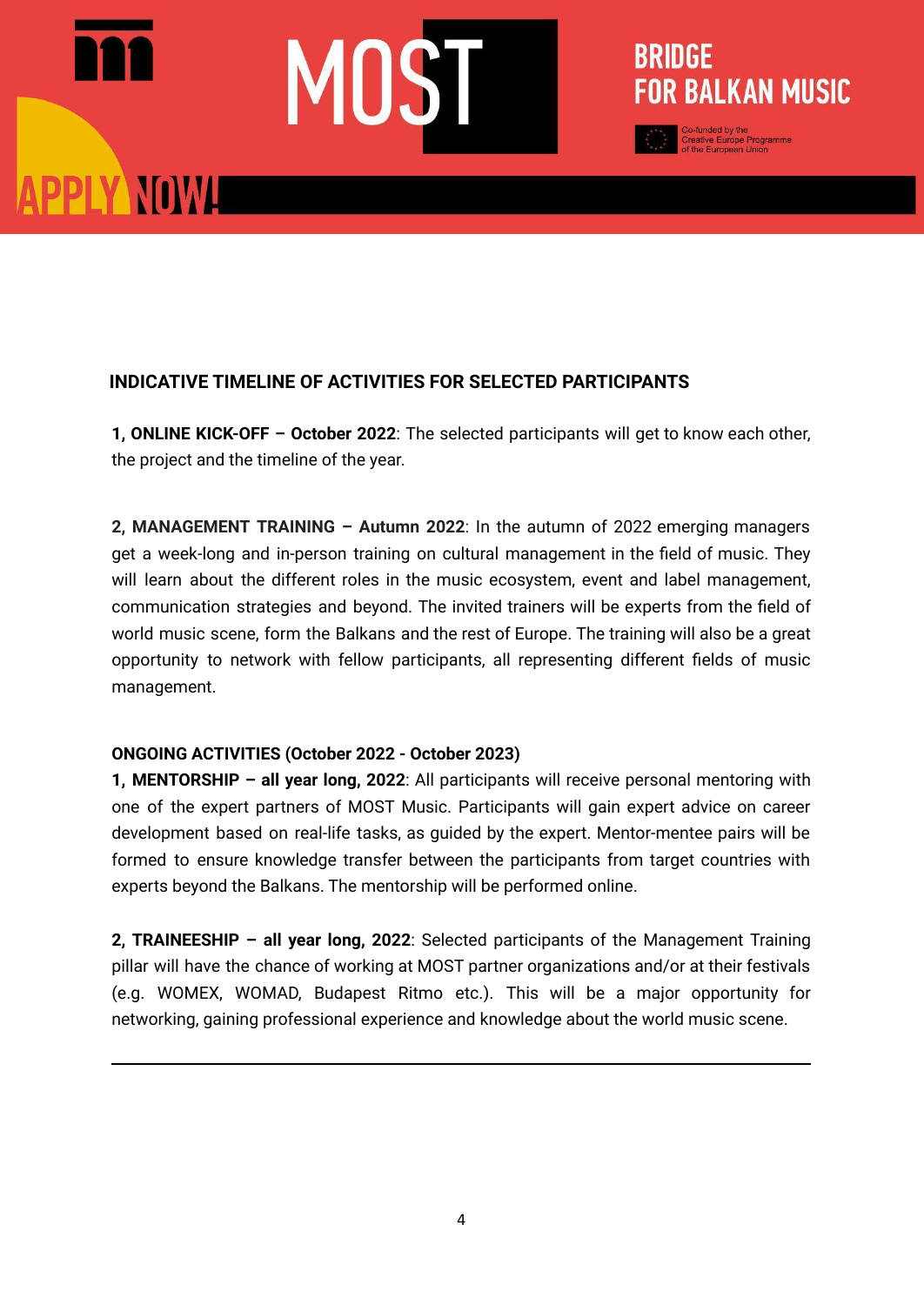PPLY NOWLED

#### **BRIDGE FOR BALKAN MUSIC**

#### **INDICATIVE TIMELINE OF ACTIVITIES FOR SELECTED PARTICIPANTS**

**1, ONLINE KICK-OFF – October 2022**: The selected participants will get to know each other, the project and the timeline of the year.

**2, MANAGEMENT TRAINING – Autumn 2022**: In the autumn of 2022 emerging managers get a week-long and in-person training on cultural management in the field of music. They will learn about the different roles in the music ecosystem, event and label management, communication strategies and beyond. The invited trainers will be experts from the field of world music scene, form the Balkans and the rest of Europe. The training will also be a great opportunity to network with fellow participants, all representing different fields of music management.

#### **ONGOING ACTIVITIES (October 2022 - October 2023)**

**1, MENTORSHIP – all year long, 2022**: All participants will receive personal mentoring with one of the expert partners of MOST Music. Participants will gain expert advice on career development based on real-life tasks, as guided by the expert. Mentor-mentee pairs will be formed to ensure knowledge transfer between the participants from target countries with experts beyond the Balkans. The mentorship will be performed online.

**2, TRAINEESHIP – all year long, 2022**: Selected participants of the Management Training pillar will have the chance of working at MOST partner organizations and/or at their festivals (e.g. WOMEX, WOMAD, Budapest Ritmo etc.). This will be a major opportunity for networking, gaining professional experience and knowledge about the world music scene.